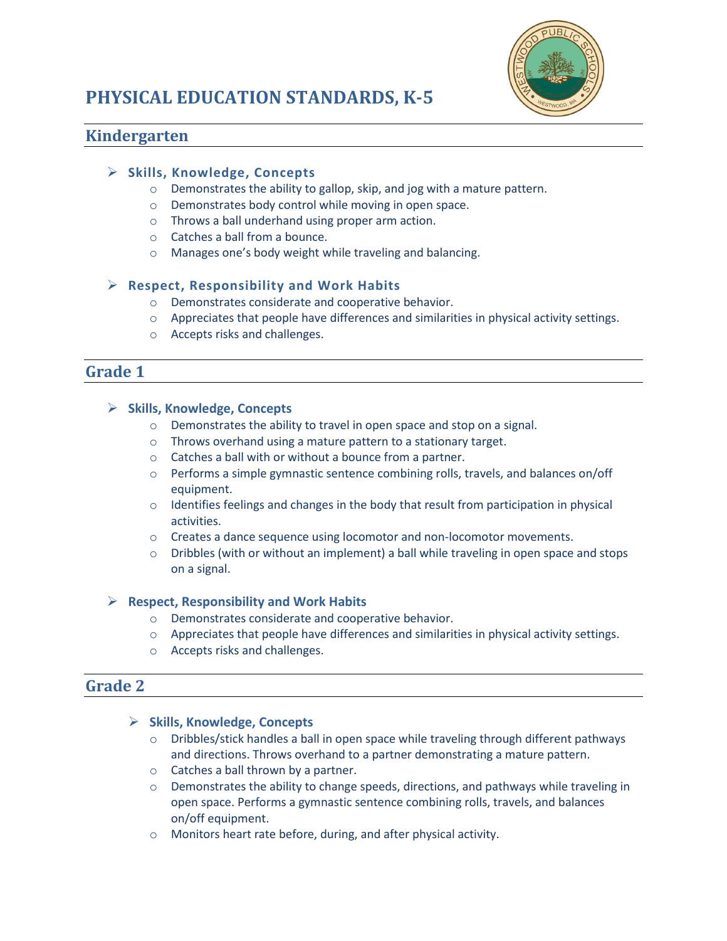



# **Kindergarten**

## **Skills, Knowledge, Concepts**

- o Demonstrates the ability to gallop, skip, and jog with a mature pattern.
- o Demonstrates body control while moving in open space.
- o Throws a ball underhand using proper arm action.
- o Catches a ball from a bounce.
- o Manages one's body weight while traveling and balancing.

# **Respect, Responsibility and Work Habits**

- o Demonstrates considerate and cooperative behavior.
- o Appreciates that people have differences and similarities in physical activity settings.
- o Accepts risks and challenges.

# **Grade 1**

## **Skills, Knowledge, Concepts**

- o Demonstrates the ability to travel in open space and stop on a signal.
- o Throws overhand using a mature pattern to a stationary target.
- o Catches a ball with or without a bounce from a partner.
- $\circ$  Performs a simple gymnastic sentence combining rolls, travels, and balances on/off equipment.
- $\circ$  Identifies feelings and changes in the body that result from participation in physical activities.
- $\circ$  Creates a dance sequence using locomotor and non-locomotor movements.
- o Dribbles (with or without an implement) a ball while traveling in open space and stops on a signal.

## **Respect, Responsibility and Work Habits**

- o Demonstrates considerate and cooperative behavior.
- o Appreciates that people have differences and similarities in physical activity settings.
- o Accepts risks and challenges.

# **Grade 2**

## **Skills, Knowledge, Concepts**

- o Dribbles/stick handles a ball in open space while traveling through different pathways and directions. Throws overhand to a partner demonstrating a mature pattern.
- o Catches a ball thrown by a partner.
- $\circ$  Demonstrates the ability to change speeds, directions, and pathways while traveling in open space. Performs a gymnastic sentence combining rolls, travels, and balances on/off equipment.
- o Monitors heart rate before, during, and after physical activity.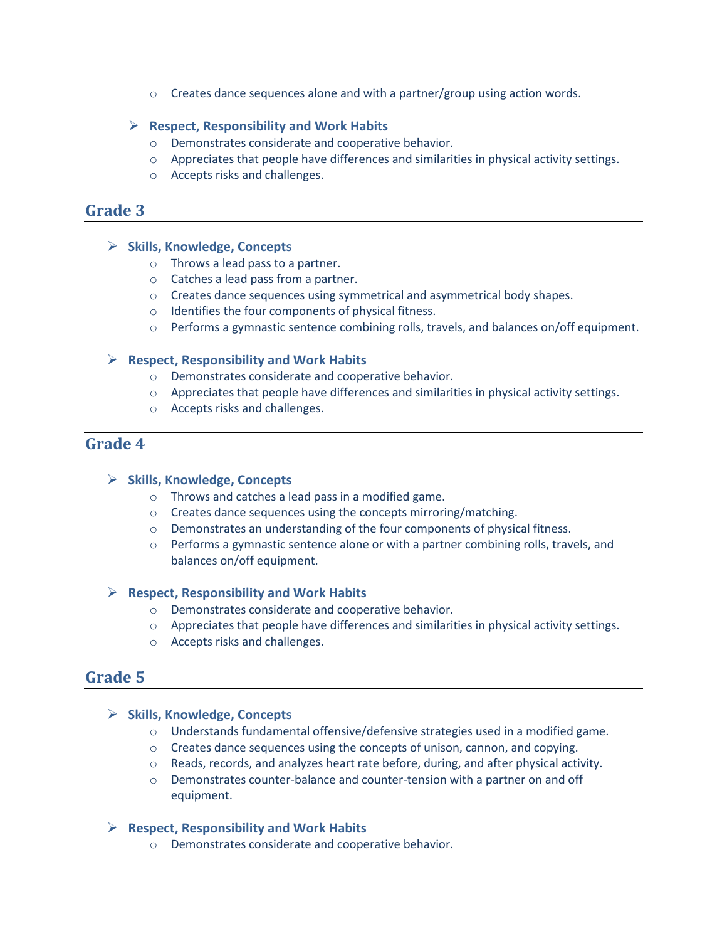$\circ$  Creates dance sequences alone and with a partner/group using action words.

#### **Respect, Responsibility and Work Habits**

- o Demonstrates considerate and cooperative behavior.
- o Appreciates that people have differences and similarities in physical activity settings.
- o Accepts risks and challenges.

# **Grade 3**

#### **Skills, Knowledge, Concepts**

- o Throws a lead pass to a partner.
- o Catches a lead pass from a partner.
- o Creates dance sequences using symmetrical and asymmetrical body shapes.
- o Identifies the four components of physical fitness.
- o Performs a gymnastic sentence combining rolls, travels, and balances on/off equipment.

#### **Respect, Responsibility and Work Habits**

- o Demonstrates considerate and cooperative behavior.
- o Appreciates that people have differences and similarities in physical activity settings.
- o Accepts risks and challenges.

# **Grade 4**

#### **Skills, Knowledge, Concepts**

- o Throws and catches a lead pass in a modified game.
- o Creates dance sequences using the concepts mirroring/matching.
- o Demonstrates an understanding of the four components of physical fitness.
- $\circ$  Performs a gymnastic sentence alone or with a partner combining rolls, travels, and balances on/off equipment.

## **Respect, Responsibility and Work Habits**

- o Demonstrates considerate and cooperative behavior.
- o Appreciates that people have differences and similarities in physical activity settings.
- o Accepts risks and challenges.

# **Grade 5**

#### **Skills, Knowledge, Concepts**

- o Understands fundamental offensive/defensive strategies used in a modified game.
- $\circ$  Creates dance sequences using the concepts of unison, cannon, and copying.
- $\circ$  Reads, records, and analyzes heart rate before, during, and after physical activity.
- o Demonstrates counter-balance and counter-tension with a partner on and off equipment.

## **Respect, Responsibility and Work Habits**

o Demonstrates considerate and cooperative behavior.